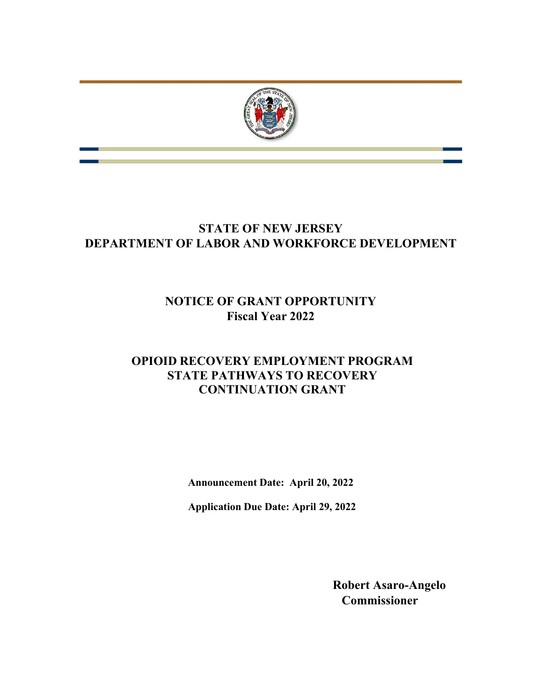

# **STATE OF NEW JERSEY DEPARTMENT OF LABOR AND WORKFORCE DEVELOPMENT**

# **NOTICE OF GRANT OPPORTUNITY Fiscal Year 2022**

## **OPIOID RECOVERY EMPLOYMENT PROGRAM STATE PATHWAYS TO RECOVERY CONTINUATION GRANT**

**Announcement Date: April 20, 2022**

**Application Due Date: April 29, 2022**

**Robert Asaro-Angelo Commissioner**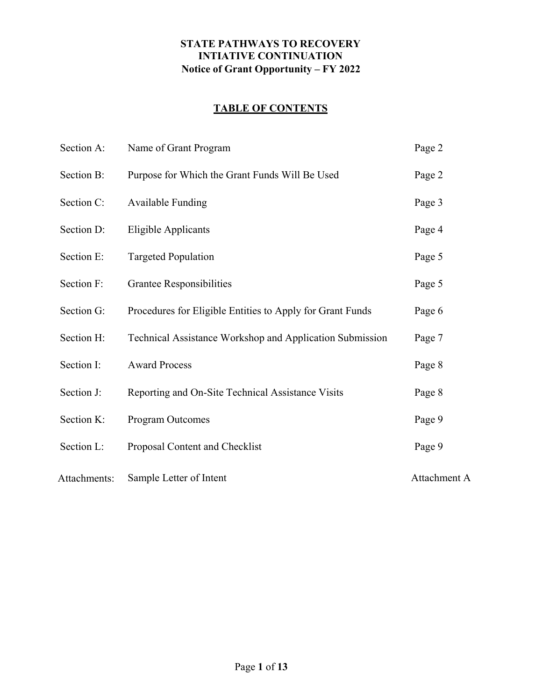#### **STATE PATHWAYS TO RECOVERY INTIATIVE CONTINUATION Notice of Grant Opportunity – FY 2022**

## **TABLE OF CONTENTS**

| Section A:   | Name of Grant Program                                     | Page 2       |
|--------------|-----------------------------------------------------------|--------------|
| Section B:   | Purpose for Which the Grant Funds Will Be Used            | Page 2       |
| Section C:   | <b>Available Funding</b>                                  | Page 3       |
| Section D:   | <b>Eligible Applicants</b>                                | Page 4       |
| Section E:   | <b>Targeted Population</b>                                | Page 5       |
| Section F:   | Grantee Responsibilities                                  | Page 5       |
| Section G:   | Procedures for Eligible Entities to Apply for Grant Funds | Page 6       |
| Section H:   | Technical Assistance Workshop and Application Submission  | Page 7       |
| Section I:   | <b>Award Process</b>                                      | Page 8       |
| Section J:   | Reporting and On-Site Technical Assistance Visits         | Page 8       |
| Section K:   | Program Outcomes                                          | Page 9       |
| Section L:   | Proposal Content and Checklist                            | Page 9       |
| Attachments: | Sample Letter of Intent                                   | Attachment A |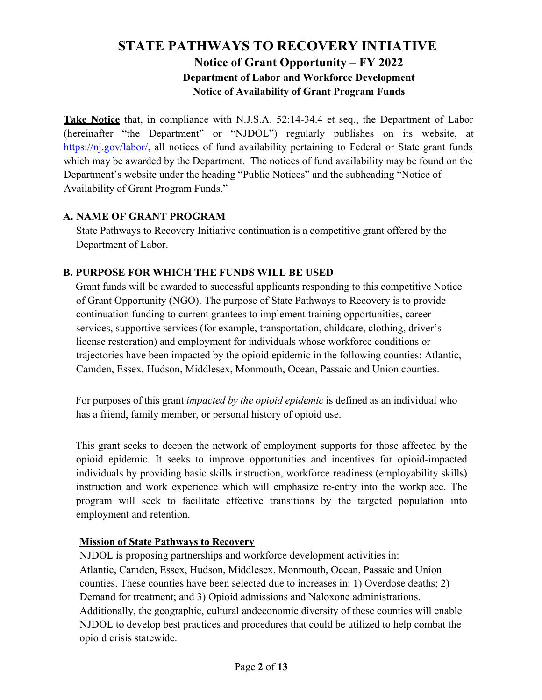## **STATE PATHWAYS TO RECOVERY INTIATIVE Notice of Grant Opportunity – FY 2022 Department of Labor and Workforce Development Notice of Availability of Grant Program Funds**

**Take Notice** that, in compliance with N.J.S.A. 52:14-34.4 et seq., the Department of Labor (hereinafter "the Department" or "NJDOL") regularly publishes on its website, at [https://nj.gov/labor/](https://nj.gov/labor)[,](http://lwd.dol.state.nj.us/labor) all notices of fund availability pertaining to Federal or State grant funds which may be awarded by the Department. The notices of fund availability may be found on the Department's website under the heading "Public Notices" and the subheading "Notice of Availability of Grant Program Funds."

#### **A. NAME OF GRANT PROGRAM**

State Pathways to Recovery Initiative continuation is a competitive grant offered by the Department of Labor.

#### **B. PURPOSE FOR WHICH THE FUNDS WILL BE USED**

Grant funds will be awarded to successful applicants responding to this competitive Notice of Grant Opportunity (NGO). The purpose of State Pathways to Recovery is to provide continuation funding to current grantees to implement training opportunities, career services, supportive services (for example, transportation, childcare, clothing, driver's license restoration) and employment for individuals whose workforce conditions or trajectories have been impacted by the opioid epidemic in the following counties: Atlantic, Camden, Essex, Hudson, Middlesex, Monmouth, Ocean, Passaic and Union counties.

For purposes of this grant *impacted by the opioid epidemic* is defined as an individual who has a friend, family member, or personal history of opioid use.

This grant seeks to deepen the network of employment supports for those affected by the opioid epidemic. It seeks to improve opportunities and incentives for opioid-impacted individuals by providing basic skills instruction, workforce readiness (employability skills) instruction and work experience which will emphasize re-entry into the workplace. The program will seek to facilitate effective transitions by the targeted population into employment and retention.

#### **Mission of State Pathways to Recovery**

NJDOL is proposing partnerships and workforce development activities in: Atlantic, Camden, Essex, Hudson, Middlesex, Monmouth, Ocean, Passaic and Union counties. These counties have been selected due to increases in: 1) Overdose deaths; 2) Demand for treatment; and 3) Opioid admissions and Naloxone administrations. Additionally, the geographic, cultural and economic diversity of these counties will enable NJDOL to develop best practices and procedures that could be utilized to help combat the opioid crisis statewide.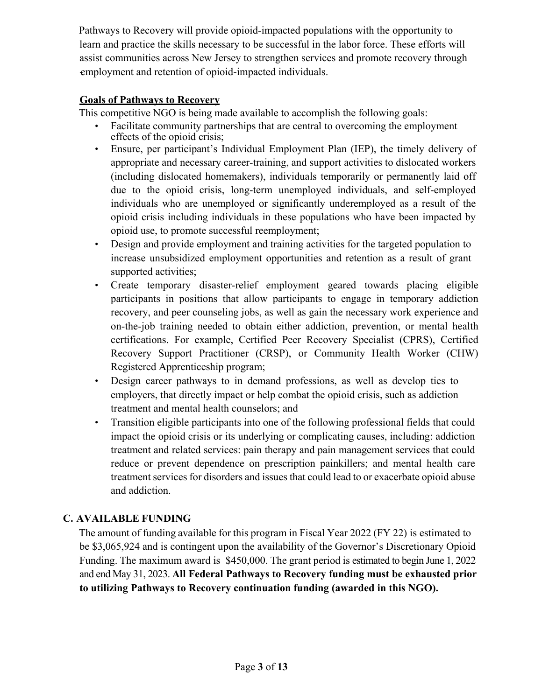Pathways to Recovery will provide opioid-impacted populations with the opportunity to learn and practice the skills necessary to be successful in the labor force. These efforts will assist communities across New Jersey to strengthen services and promote recovery through - employment and retention of opioid-impacted individuals.

#### **Goals of Pathways to Recovery**

This competitive NGO is being made available to accomplish the following goals:

- Facilitate community partnerships that are central to overcoming the employment effects of the opioid crisis;
- Ensure, per participant's Individual Employment Plan (IEP), the timely delivery of appropriate and necessary career-training, and support activities to dislocated workers (including dislocated homemakers), individuals temporarily or permanently laid off due to the opioid crisis, long-term unemployed individuals, and self-employed individuals who are unemployed or significantly underemployed as a result of the opioid crisis including individuals in these populations who have been impacted by opioid use, to promote successful reemployment;
- Design and provide employment and training activities for the targeted population to increase unsubsidized employment opportunities and retention as a result of grant supported activities;
- Create temporary disaster-relief employment geared towards placing eligible participants in positions that allow participants to engage in temporary addiction recovery, and peer counseling jobs, as well as gain the necessary work experience and on-the-job training needed to obtain either addiction, prevention, or mental health certifications. For example, Certified Peer Recovery Specialist (CPRS), Certified Recovery Support Practitioner (CRSP), or Community Health Worker (CHW) Registered Apprenticeship program;
- Design career pathways to in demand professions, as well as develop ties to employers, that directly impact or help combat the opioid crisis, such as addiction treatment and mental health counselors; and
- Transition eligible participants into one of the following professional fields that could impact the opioid crisis or its underlying or complicating causes, including: addiction treatment and related services: pain therapy and pain management services that could reduce or prevent dependence on prescription painkillers; and mental health care treatment services for disorders and issues that could lead to or exacerbate opioid abuse and addiction.

## **C. AVAILABLE FUNDING**

The amount of funding available for this program in Fiscal Year 2022 (FY 22) is estimated to be \$3,065,924 and is contingent upon the availability of the Governor's Discretionary Opioid Funding. The maximum award is \$450,000. The grant period is estimated to begin June 1, 2022 and end May 31, 2023. **All Federal Pathways to Recovery funding must be exhausted prior to utilizing Pathways to Recovery continuation funding (awarded in this NGO).**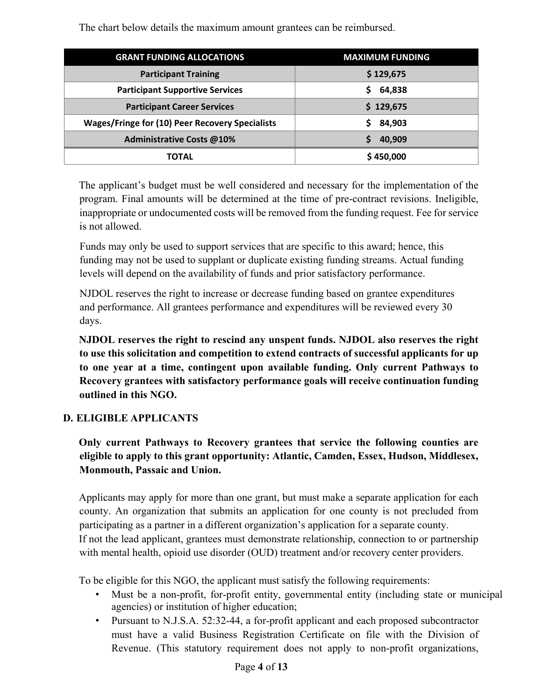The chart below details the maximum amount grantees can be reimbursed.

| <b>GRANT FUNDING ALLOCATIONS</b>                       | <b>MAXIMUM FUNDING</b> |  |
|--------------------------------------------------------|------------------------|--|
| <b>Participant Training</b>                            | \$129,675              |  |
| <b>Participant Supportive Services</b>                 | 64,838<br>S.           |  |
| <b>Participant Career Services</b>                     | \$129,675              |  |
| <b>Wages/Fringe for (10) Peer Recovery Specialists</b> | 84,903                 |  |
| <b>Administrative Costs @10%</b>                       | 40,909                 |  |
| <b>TOTAL</b>                                           | \$450,000              |  |

The applicant's budget must be well considered and necessary for the implementation of the program. Final amounts will be determined at the time of pre-contract revisions. Ineligible, inappropriate or undocumented costs will be removed from the funding request. Fee for service is not allowed.

Funds may only be used to support services that are specific to this award; hence, this funding may not be used to supplant or duplicate existing funding streams. Actual funding levels will depend on the availability of funds and prior satisfactory performance.

NJDOL reserves the right to increase or decrease funding based on grantee expenditures and performance. All grantees performance and expenditures will be reviewed every 30 days.

**NJDOL reserves the right to rescind any unspent funds. NJDOL also reserves the right to use this solicitation and competition to extend contracts of successful applicants for up to one year at a time, contingent upon available funding. Only current Pathways to Recovery grantees with satisfactory performance goals will receive continuation funding outlined in this NGO.**

## **D. ELIGIBLE APPLICANTS**

**Only current Pathways to Recovery grantees that service the following counties are eligible to apply to this grant opportunity: Atlantic, Camden, Essex, Hudson, Middlesex, Monmouth, Passaic and Union.** 

Applicants may apply for more than one grant, but must make a separate application for each county. An organization that submits an application for one county is not precluded from participating as a partner in a different organization's application for a separate county. If not the lead applicant, grantees must demonstrate relationship, connection to or partnership with mental health, opioid use disorder (OUD) treatment and/or recovery center providers.

To be eligible for this NGO, the applicant must satisfy the following requirements:

- Must be a non-profit, for-profit entity, governmental entity (including state or municipal agencies) or institution of higher education;
- Pursuant to N.J.S.A. 52:32-44, a for-profit applicant and each proposed subcontractor must have a valid Business Registration Certificate on file with the Division of Revenue. (This statutory requirement does not apply to non-profit organizations,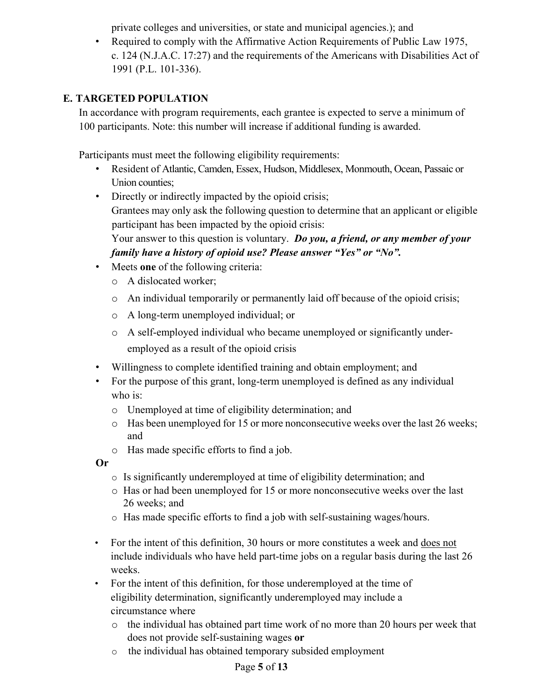private colleges and universities, or state and municipal agencies.); and

• Required to comply with the Affirmative Action Requirements of Public Law 1975, c. 124 (N.J.A.C. 17:27) and the requirements of the Americans with Disabilities Act of 1991 (P.L. 101-336).

## **E. TARGETED POPULATION**

In accordance with program requirements, each grantee is expected to serve a minimum of 100 participants. Note: this number will increase if additional funding is awarded.

Participants must meet the following eligibility requirements:

- Resident of Atlantic, Camden, Essex, Hudson, Middlesex, Monmouth, Ocean, Passaic or Union counties;
- Directly or indirectly impacted by the opioid crisis; Grantees may only ask the following question to determine that an applicant or eligible participant has been impacted by the opioid crisis:

Your answer to this question is voluntary. *Do you, a friend, or any member of your family have a history of opioid use? Please answer "Yes" or "No".*

- Meets **one** of the following criteria:
	- o A dislocated worker;
	- o An individual temporarily or permanently laid off because of the opioid crisis;
	- o A long-term unemployed individual; or
	- o A self-employed individual who became unemployed or significantly underemployed as a result of the opioid crisis
- Willingness to complete identified training and obtain employment; and
- For the purpose of this grant, long-term unemployed is defined as any individual who is:
	- o Unemployed at time of eligibility determination; and
	- o Has been unemployed for 15 or more nonconsecutive weeks over the last 26 weeks; and
	- o Has made specific efforts to find a job.

**Or**

- o Is significantly underemployed at time of eligibility determination; and
- o Has or had been unemployed for 15 or more nonconsecutive weeks over the last 26 weeks; and
- o Has made specific efforts to find a job with self-sustaining wages/hours.
- For the intent of this definition, 30 hours or more constitutes a week and does not include individuals who have held part-time jobs on a regular basis during the last 26 weeks.
- For the intent of this definition, for those underemployed at the time of eligibility determination, significantly underemployed may include a circumstance where
	- o the individual has obtained part time work of no more than 20 hours per week that does not provide self-sustaining wages **or**
	- o the individual has obtained temporary subsided employment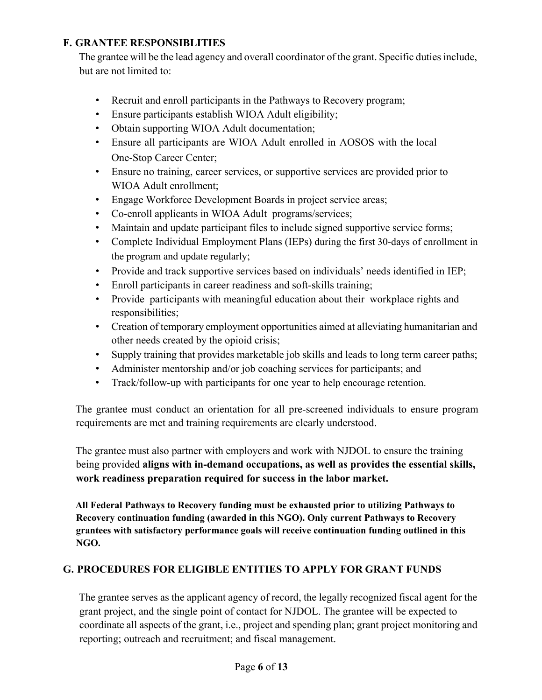## **F. GRANTEE RESPONSIBLITIES**

The grantee will be the lead agency and overall coordinator of the grant. Specific duties include, but are not limited to:

- Recruit and enroll participants in the Pathways to Recovery program;
- Ensure participants establish WIOA Adult eligibility;
- Obtain supporting WIOA Adult documentation;
- Ensure all participants are WIOA Adult enrolled in AOSOS with the local One-Stop Career Center;
- Ensure no training, career services, or supportive services are provided prior to WIOA Adult enrollment;
- Engage Workforce Development Boards in project service areas;
- Co-enroll applicants in WIOA Adult programs/services;
- Maintain and update participant files to include signed supportive service forms;
- Complete Individual Employment Plans (IEPs) during the first 30-days of enrollment in the program and update regularly;
- Provide and track supportive services based on individuals' needs identified in IEP;
- Enroll participants in career readiness and soft-skills training;
- Provide participants with meaningful education about their workplace rights and responsibilities;
- Creation of temporary employment opportunities aimed at alleviating humanitarian and other needs created by the opioid crisis;
- Supply training that provides marketable job skills and leads to long term career paths;
- Administer mentorship and/or job coaching services for participants; and
- Track/follow-up with participants for one year to help encourage retention.

The grantee must conduct an orientation for all pre-screened individuals to ensure program requirements are met and training requirements are clearly understood.

The grantee must also partner with employers and work with NJDOL to ensure the training being provided **aligns with in-demand occupations, as well as provides the essential skills, work readiness preparation required for success in the labor market.**

**All Federal Pathways to Recovery funding must be exhausted prior to utilizing Pathways to Recovery continuation funding (awarded in this NGO). Only current Pathways to Recovery grantees with satisfactory performance goals will receive continuation funding outlined in this NGO.**

#### **G. PROCEDURES FOR ELIGIBLE ENTITIES TO APPLY FOR GRANT FUNDS**

The grantee serves as the applicant agency of record, the legally recognized fiscal agent for the grant project, and the single point of contact for NJDOL. The grantee will be expected to coordinate all aspects of the grant, i.e., project and spending plan; grant project monitoring and reporting; outreach and recruitment; and fiscal management.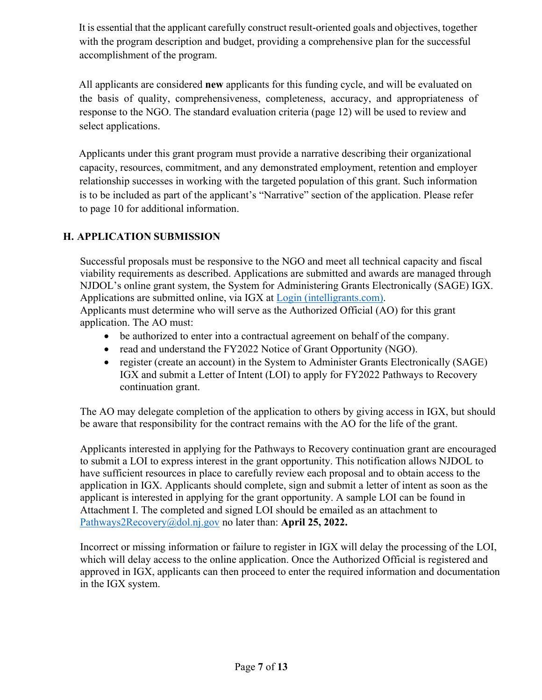It is essential that the applicant carefully construct result-oriented goals and objectives, together with the program description and budget, providing a comprehensive plan for the successful accomplishment of the program.

All applicants are considered **new** applicants for this funding cycle, and will be evaluated on the basis of quality, comprehensiveness, completeness, accuracy, and appropriateness of response to the NGO. The standard evaluation criteria (page 12) will be used to review and select applications.

Applicants under this grant program must provide a narrative describing their organizational capacity, resources, commitment, and any demonstrated employment, retention and employer relationship successes in working with the targeted population of this grant. Such information is to be included as part of the applicant's "Narrative" section of the application. Please refer to page 10 for additional information.

## **H. APPLICATION SUBMISSION**

Successful proposals must be responsive to the NGO and meet all technical capacity and fiscal viability requirements as described. Applications are submitted and awards are managed through NJDOL's online grant system, the System for Administering Grants Electronically (SAGE) IGX. Applications are submitted online, via IGX at [Login \(intelligrants.com\).](https://njdol.intelligrants.com/)

Applicants must determine who will serve as the Authorized Official (AO) for this grant application. The AO must:

- be authorized to enter into a contractual agreement on behalf of the company.
- read and understand the FY2022 Notice of Grant Opportunity (NGO).
- register (create an account) in the System to Administer Grants Electronically (SAGE) IGX and submit a Letter of Intent (LOI) to apply for FY2022 Pathways to Recovery continuation grant.

The AO may delegate completion of the application to others by giving access in IGX, but should be aware that responsibility for the contract remains with the AO for the life of the grant.

Applicants interested in applying for the Pathways to Recovery continuation grant are encouraged to submit a LOI to express interest in the grant opportunity. This notification allows NJDOL to have sufficient resources in place to carefully review each proposal and to obtain access to the application in IGX. Applicants should complete, sign and submit a letter of intent as soon as the applicant is interested in applying for the grant opportunity. A sample LOI can be found in Attachment I. The completed and signed LOI should be emailed as an attachment to [Pathways2Recovery@dol.nj.gov](mailto:Pathways2Recovery@dol.nj.gov) no later than: **April 25, 2022.** 

Incorrect or missing information or failure to register in IGX will delay the processing of the LOI, which will delay access to the online application. Once the Authorized Official is registered and approved in IGX, applicants can then proceed to enter the required information and documentation in the IGX system.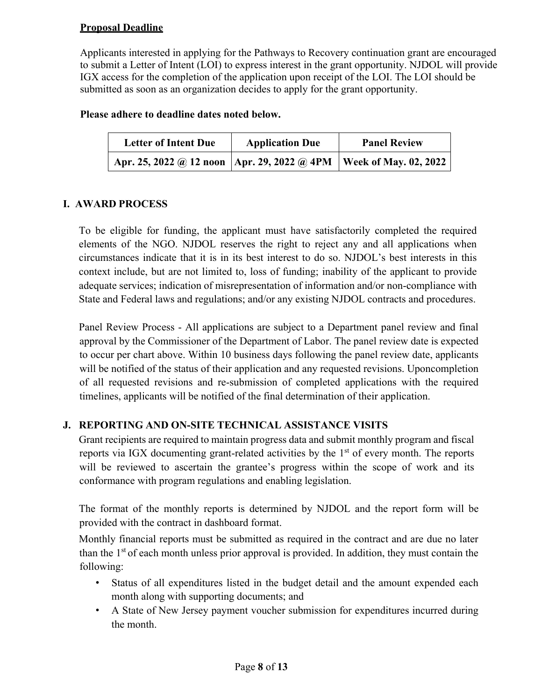#### **Proposal Deadline**

Applicants interested in applying for the Pathways to Recovery continuation grant are encouraged to submit a Letter of Intent (LOI) to express interest in the grant opportunity. NJDOL will provide IGX access for the completion of the application upon receipt of the LOI. The LOI should be submitted as soon as an organization decides to apply for the grant opportunity.

#### **Please adhere to deadline dates noted below.**

| <b>Letter of Intent Due</b>                   | <b>Application Due</b> | <b>Panel Review</b>          |
|-----------------------------------------------|------------------------|------------------------------|
| Apr. 25, 2022 @ 12 noon   Apr. 29, 2022 @ 4PM |                        | <b>Week of May. 02, 2022</b> |

## **I. AWARD PROCESS**

To be eligible for funding, the applicant must have satisfactorily completed the required elements of the NGO. NJDOL reserves the right to reject any and all applications when circumstances indicate that it is in its best interest to do so. NJDOL's best interests in this context include, but are not limited to, loss of funding; inability of the applicant to provide adequate services; indication of misrepresentation of information and/or non-compliance with State and Federal laws and regulations; and/or any existing NJDOL contracts and procedures.

Panel Review Process - All applications are subject to a Department panel review and final approval by the Commissioner of the Department of Labor. The panel review date is expected to occur per chart above. Within 10 business days following the panel review date, applicants will be notified of the status of their application and any requested revisions. Upon completion of all requested revisions and re-submission of completed applications with the required timelines, applicants will be notified of the final determination of their application.

## **J. REPORTING AND ON-SITE TECHNICAL ASSISTANCE VISITS**

Grant recipients are required to maintain progress data and submit monthly program and fiscal reports via IGX documenting grant-related activities by the  $1<sup>st</sup>$  of every month. The reports will be reviewed to ascertain the grantee's progress within the scope of work and its conformance with program regulations and enabling legislation.

The format of the monthly reports is determined by NJDOL and the report form will be provided with the contract in dashboard format.

Monthly financial reports must be submitted as required in the contract and are due no later than the  $1<sup>st</sup>$  of each month unless prior approval is provided. In addition, they must contain the following:

- Status of all expenditures listed in the budget detail and the amount expended each month along with supporting documents; and
- A State of New Jersey payment voucher submission for expenditures incurred during the month.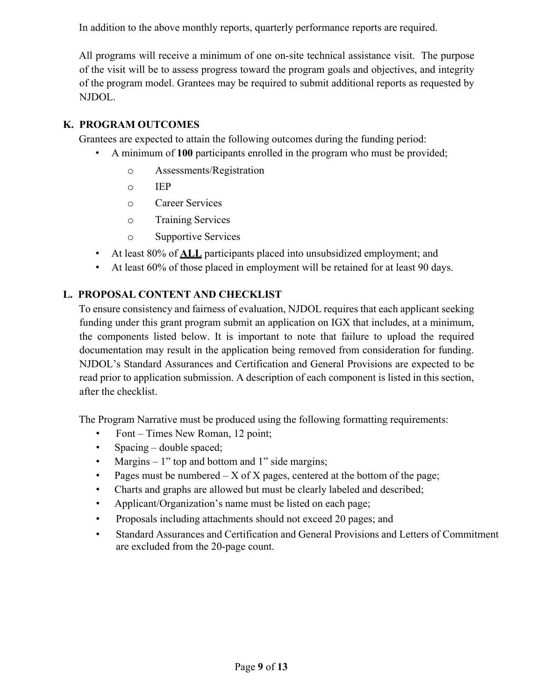In addition to the above monthly reports, quarterly performance reports are required.

All programs will receive a minimum of one on-site technical assistance visit. The purpose of the visit will be to assess progress toward the program goals and objectives, and integrity of the program model. Grantees may be required to submit additional reports as requested by NJDOL.

## **K. PROGRAM OUTCOMES**

Grantees are expected to attain the following outcomes during the funding period:

- A minimum of **100** participants enrolled in the program who must be provided;
	- o Assessments/Registration
	- o IEP
	- o Career Services
	- o Training Services
	- o Supportive Services
- At least 80% of **ALL** participants placed into unsubsidized employment; and
- At least 60% of those placed in employment will be retained for at least 90 days.

#### **L. PROPOSAL CONTENT AND CHECKLIST**

To ensure consistency and fairness of evaluation, NJDOL requires that each applicant seeking funding under this grant program submit an application on IGX that includes, at a minimum, the components listed below. It is important to note that failure to upload the required documentation may result in the application being removed from consideration for funding. NJDOL's Standard Assurances and Certification and General Provisions are expected to be read prior to application submission. A description of each component is listed in this section, after the checklist.

The Program Narrative must be produced using the following formatting requirements:

- Font Times New Roman, 12 point;
- Spacing double spaced;
- Margins 1" top and bottom and 1" side margins;
- Pages must be numbered  $-X$  of  $X$  pages, centered at the bottom of the page;
- Charts and graphs are allowed but must be clearly labeled and described;
- Applicant/Organization's name must be listed on each page;
- Proposals including attachments should not exceed 20 pages; and
- Standard Assurances and Certification and General Provisions and Letters of Commitment are excluded from the 20-page count.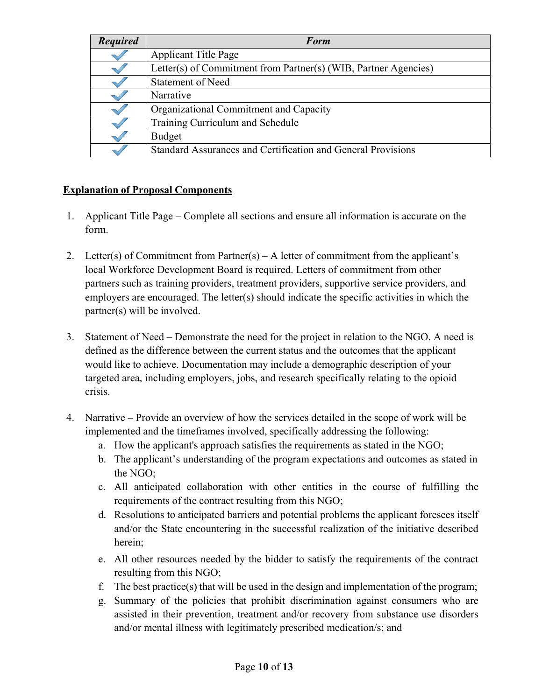| <b>Required</b> | <b>Form</b>                                                     |
|-----------------|-----------------------------------------------------------------|
|                 | <b>Applicant Title Page</b>                                     |
|                 | Letter(s) of Commitment from Partner(s) (WIB, Partner Agencies) |
|                 | <b>Statement of Need</b>                                        |
|                 | Narrative                                                       |
|                 | Organizational Commitment and Capacity                          |
|                 | Training Curriculum and Schedule                                |
|                 | Budget                                                          |
|                 | Standard Assurances and Certification and General Provisions    |

#### **Explanation of Proposal Components**

- 1. Applicant Title Page Complete all sections and ensure all information is accurate on the form.
- 2. Letter(s) of Commitment from Partner(s) A letter of commitment from the applicant's local Workforce Development Board is required. Letters of commitment from other partners such as training providers, treatment providers, supportive service providers, and employers are encouraged. The letter(s) should indicate the specific activities in which the partner(s) will be involved.
- 3. Statement of Need Demonstrate the need for the project in relation to the NGO. A need is defined as the difference between the current status and the outcomes that the applicant would like to achieve. Documentation may include a demographic description of your targeted area, including employers, jobs, and research specifically relating to the opioid crisis.
- 4. Narrative Provide an overview of how the services detailed in the scope of work will be implemented and the timeframes involved, specifically addressing the following:
	- a. How the applicant's approach satisfies the requirements as stated in the NGO;
	- b. The applicant's understanding of the program expectations and outcomes as stated in the NGO;
	- c. All anticipated collaboration with other entities in the course of fulfilling the requirements of the contract resulting from this NGO;
	- d. Resolutions to anticipated barriers and potential problems the applicant foresees itself and/or the State encountering in the successful realization of the initiative described herein;
	- e. All other resources needed by the bidder to satisfy the requirements of the contract resulting from this NGO;
	- f. The best practice(s) that will be used in the design and implementation of the program;
	- g. Summary of the policies that prohibit discrimination against consumers who are assisted in their prevention, treatment and/or recovery from substance use disorders and/or mental illness with legitimately prescribed medication/s; and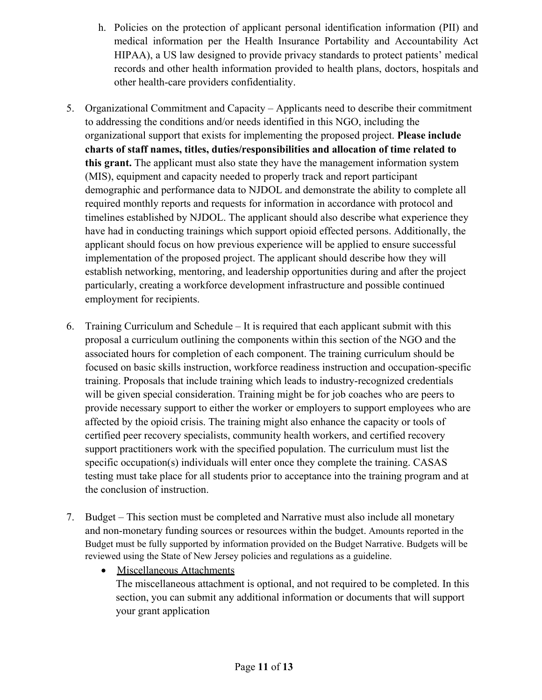- h. Policies on the protection of applicant personal identification information (PII) and medical information per the Health Insurance Portability and Accountability Act HIPAA), a US law designed to provide privacy standards to protect patients' medical records and other health information provided to health plans, doctors, hospitals and other health-care providers confidentiality.
- 5. Organizational Commitment and Capacity Applicants need to describe their commitment to addressing the conditions and/or needs identified in this NGO, including the organizational support that exists for implementing the proposed project. **Please include charts of staff names, titles, duties/responsibilities and allocation of time related to this grant.** The applicant must also state they have the management information system (MIS), equipment and capacity needed to properly track and report participant demographic and performance data to NJDOL and demonstrate the ability to complete all required monthly reports and requests for information in accordance with protocol and timelines established by NJDOL. The applicant should also describe what experience they have had in conducting trainings which support opioid effected persons. Additionally, the applicant should focus on how previous experience will be applied to ensure successful implementation of the proposed project. The applicant should describe how they will establish networking, mentoring, and leadership opportunities during and after the project particularly, creating a workforce development infrastructure and possible continued employment for recipients.
- 6. Training Curriculum and Schedule It is required that each applicant submit with this proposal a curriculum outlining the components within this section of the NGO and the associated hours for completion of each component. The training curriculum should be focused on basic skills instruction, workforce readiness instruction and occupation-specific training. Proposals that include training which leads to industry-recognized credentials will be given special consideration. Training might be for job coaches who are peers to provide necessary support to either the worker or employers to support employees who are affected by the opioid crisis. The training might also enhance the capacity or tools of certified peer recovery specialists, community health workers, and certified recovery support practitioners work with the specified population. The curriculum must list the specific occupation(s) individuals will enter once they complete the training. CASAS testing must take place for all students prior to acceptance into the training program and at the conclusion of instruction.
- 7. Budget This section must be completed and Narrative must also include all monetary and non-monetary funding sources or resources within the budget. Amounts reported in the Budget must be fully supported by information provided on the Budget Narrative. Budgets will be reviewed using the State of New Jersey policies and regulations as a guideline.
	- Miscellaneous Attachments The miscellaneous attachment is optional, and not required to be completed. In this section, you can submit any additional information or documents that will support your grant application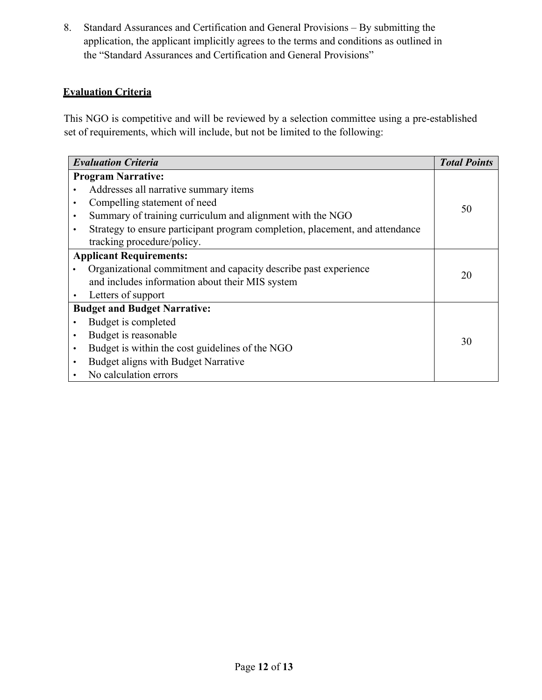8. Standard Assurances and Certification and General Provisions – By submitting the application, the applicant implicitly agrees to the terms and conditions as outlined in the "Standard Assurances and Certification and General Provisions"

#### **Evaluation Criteria**

This NGO is competitive and will be reviewed by a selection committee using a pre-established set of requirements, which will include, but not be limited to the following:

| <b>Evaluation Criteria</b>          |                                                                              | <b>Total Points</b> |
|-------------------------------------|------------------------------------------------------------------------------|---------------------|
| <b>Program Narrative:</b>           |                                                                              |                     |
|                                     | Addresses all narrative summary items                                        |                     |
| ٠                                   | Compelling statement of need                                                 | 50                  |
|                                     | Summary of training curriculum and alignment with the NGO                    |                     |
|                                     | Strategy to ensure participant program completion, placement, and attendance |                     |
|                                     | tracking procedure/policy.                                                   |                     |
| <b>Applicant Requirements:</b>      |                                                                              |                     |
|                                     | Organizational commitment and capacity describe past experience              | 20                  |
|                                     | and includes information about their MIS system                              |                     |
|                                     | Letters of support                                                           |                     |
| <b>Budget and Budget Narrative:</b> |                                                                              |                     |
|                                     | Budget is completed                                                          |                     |
|                                     | Budget is reasonable                                                         | 30                  |
| $\bullet$                           | Budget is within the cost guidelines of the NGO                              |                     |
| $\bullet$                           | Budget aligns with Budget Narrative                                          |                     |
|                                     | No calculation errors                                                        |                     |